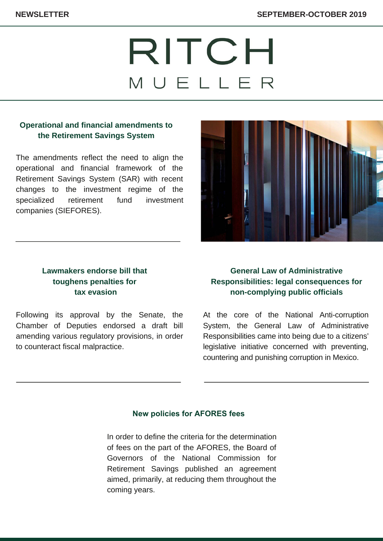# RITCH MUELLER

## **Operational and financial amendments to the Retirement Savings System**

The amendments reflect the need to align the operational and financial framework of the Retirement Savings System (SAR) with recent changes to the investment regime of the [specialized retirement fund investment](https://www.ritch.com.mx/uploads/Newsletter/2019/septiembte-octubre/ingles/1-CONSAR-ing.pdf) companies (SIEFORES).



## **Lawmakers endorse bill that toughens penalties for tax evasion**

Following its approval by the Senate, the Chamber of Deputies endorsed a draft bill [amending various regulatory provisions, in order](https://www.ritch.com.mx/uploads/Newsletter/2019/septiembte-octubre/ingles/2-emp-fantasma-fact-falsas-ing.pdf) to counteract fiscal malpractice.

# **General Law of Administrative [Responsibilities:](https://www.ritch.com.mx/uploads/Newsletter/2019/septiembte-octubre/ingles/3-ley-3de3-ing.pdf) legal consequences for non-complying public officials**

At the core of the National Anti-corruption System, the General Law of Administrative Responsibilities came into being due to a citizens' legislative initiative concerned with preventing, countering and punishing corruption in Mexico.

## **New policies for AFORES fees**

[In order to define the criteria for the determination](https://www.ritch.com.mx/uploads/Newsletter/2019/septiembte-octubre/ingles/4-comisiones-fondos-retiro-ing.pdf) of fees on the part of the AFORES, the Board of Governors of the National Commission for Retirement Savings published an agreement aimed, primarily, at reducing them throughout the coming years.